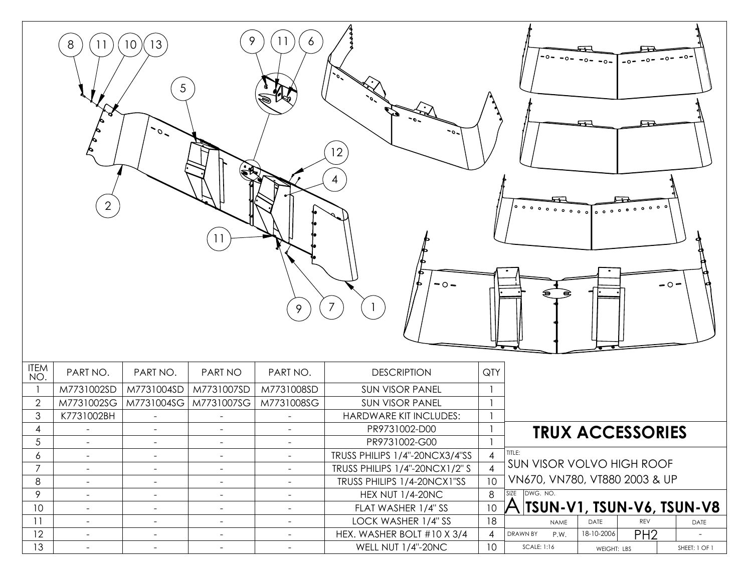| 9<br>11<br>6<br>13<br>8<br>11<br>10 <sup>°</sup><br>-0-<br>$5\overline{)}$<br>$\overline{\phantom{a}}$<br>$\sim$<br>12<br>4<br>$\overline{2}$<br>$^{\circ}$ $^{\circ}$ $^{\circ}$ $^{\circ}$ $^{\circ}$ $^{\circ}$ $^{\circ}$ $^{\circ}$ $^{\circ}$ $^{\circ}$ $^{\circ}$ $^{\circ}$ $^{\circ}$ $^{\circ}$ $^{\circ}$ $^{\circ}$ $^{\circ}$ $^{\circ}$ $^{\circ}$ $^{\circ}$ $^{\circ}$ $^{\circ}$ $^{\circ}$ $^{\circ}$ $^{\circ}$ $^{\circ}$ $^{\circ}$ $^{\circ}$ $^{\circ}$ $^{\circ}$ $^{\circ}$ $^{\circ$<br>0 <sub>0</sub><br>$-0-$<br>$\overline{\phantom{0}}$ $\overline{\phantom{0}}$ $\overline{\phantom{0}}$<br>$\overline{7}$<br>9 |                          |                                                                  |                          |                |                                |          |                                     |             |     |  |               |
|-------------------------------------------------------------------------------------------------------------------------------------------------------------------------------------------------------------------------------------------------------------------------------------------------------------------------------------------------------------------------------------------------------------------------------------------------------------------------------------------------------------------------------------------------------------------------------------------------------------------------------------------------|--------------------------|------------------------------------------------------------------|--------------------------|----------------|--------------------------------|----------|-------------------------------------|-------------|-----|--|---------------|
| <b>ITEM</b><br>NO.                                                                                                                                                                                                                                                                                                                                                                                                                                                                                                                                                                                                                              | PART NO.                 | PART NO.                                                         | PART NO                  | PART NO.       | <b>DESCRIPTION</b>             | QTY      |                                     |             |     |  |               |
|                                                                                                                                                                                                                                                                                                                                                                                                                                                                                                                                                                                                                                                 | M7731002SD               | M7731004SD<br>M7731007SD<br>M7731008SD<br><b>SUN VISOR PANEL</b> |                          |                |                                |          |                                     |             |     |  |               |
| $\mathbf{2}$                                                                                                                                                                                                                                                                                                                                                                                                                                                                                                                                                                                                                                    | M7731002SG               | M7731004SG                                                       | M7731007SG               | M7731008SG     | <b>SUN VISOR PANEL</b>         |          |                                     |             |     |  |               |
| $\mathfrak{S}$                                                                                                                                                                                                                                                                                                                                                                                                                                                                                                                                                                                                                                  | K7731002BH               |                                                                  |                          |                | HARDWARE KIT INCLUDES:         |          |                                     |             |     |  |               |
| 4                                                                                                                                                                                                                                                                                                                                                                                                                                                                                                                                                                                                                                               | $\overline{\phantom{a}}$ |                                                                  |                          |                | PR9731002-D00                  |          | <b>TRUX ACCESSORIES</b>             |             |     |  |               |
| 5                                                                                                                                                                                                                                                                                                                                                                                                                                                                                                                                                                                                                                               |                          |                                                                  |                          |                | PR9731002-G00                  |          |                                     |             |     |  |               |
| 6                                                                                                                                                                                                                                                                                                                                                                                                                                                                                                                                                                                                                                               | $\blacksquare$           | $\overline{\phantom{a}}$                                         | $\overline{\phantom{a}}$ | $\blacksquare$ | TRUSS PHILIPS 1/4"-20NCX3/4"SS |          | TITLE:                              |             |     |  |               |
| $\overline{7}$                                                                                                                                                                                                                                                                                                                                                                                                                                                                                                                                                                                                                                  | $\overline{\phantom{a}}$ | $\overline{\phantom{a}}$                                         | $\sim$                   | $\blacksquare$ | TRUSS PHILIPS 1/4"-20NCX1/2" S |          | SUN VISOR VOLVO HIGH ROOF           |             |     |  |               |
| 8                                                                                                                                                                                                                                                                                                                                                                                                                                                                                                                                                                                                                                               | $\overline{\phantom{a}}$ | $\blacksquare$                                                   | $\overline{\phantom{a}}$ | $\blacksquare$ | TRUSS PHILIPS 1/4-20NCX1"SS    |          | VN670, VN780, VT880 2003 & UP       |             |     |  |               |
| 9                                                                                                                                                                                                                                                                                                                                                                                                                                                                                                                                                                                                                                               | $\sim$                   | $\blacksquare$                                                   | $\sim$                   | $\blacksquare$ | <b>HEX NUT 1/4-20NC</b>        |          | SIZE DWG. NO.                       |             |     |  |               |
| 10                                                                                                                                                                                                                                                                                                                                                                                                                                                                                                                                                                                                                                              | $\blacksquare$           | $\blacksquare$                                                   | $\sim$                   | $\blacksquare$ | FLAT WASHER 1/4" SS            |          | A TSUN-V1, TSUN-V <u>6, TSUN-V8</u> |             |     |  |               |
| $\overline{11}$                                                                                                                                                                                                                                                                                                                                                                                                                                                                                                                                                                                                                                 | $\blacksquare$           | $\sim$                                                           | $\overline{\phantom{a}}$ | $\blacksquare$ | LOCK WASHER 1/4" SS            | 10<br>18 | <b>NAME</b>                         | DATE        | REV |  | DATE          |
| 12                                                                                                                                                                                                                                                                                                                                                                                                                                                                                                                                                                                                                                              | $\blacksquare$           | $\blacksquare$                                                   | $\blacksquare$           | $\blacksquare$ | HEX. WASHER BOLT #10 X 3/4     | 4        | DRAWN BY<br>P.W.                    | 18-10-2006  | PH2 |  |               |
| 13                                                                                                                                                                                                                                                                                                                                                                                                                                                                                                                                                                                                                                              | $\blacksquare$           | $\blacksquare$                                                   | $\blacksquare$           | $\blacksquare$ | WELL NUT 1/4"-20NC             | 10       | SCALE: 1:16                         | WEIGHT: LBS |     |  | SHEET: 1 OF 1 |